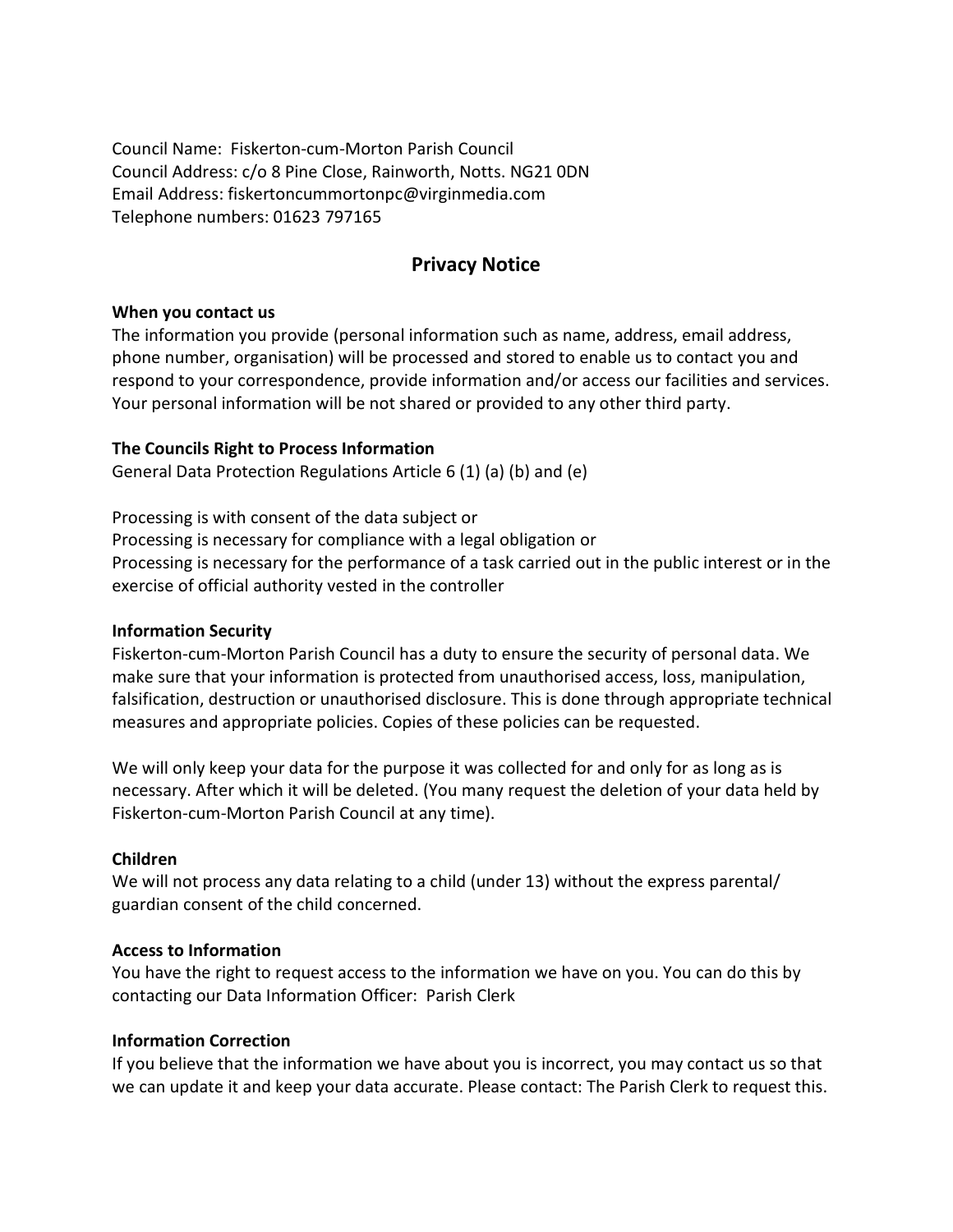Council Name: Fiskerton-cum-Morton Parish Council Council Address: c/o 8 Pine Close, Rainworth, Notts. NG21 0DN Email Address: fiskertoncummortonpc@virginmedia.com Telephone numbers: 01623 797165

# Privacy Notice

## When you contact us

The information you provide (personal information such as name, address, email address, phone number, organisation) will be processed and stored to enable us to contact you and respond to your correspondence, provide information and/or access our facilities and services. Your personal information will be not shared or provided to any other third party.

# The Councils Right to Process Information

General Data Protection Regulations Article 6 (1) (a) (b) and (e)

Processing is with consent of the data subject or Processing is necessary for compliance with a legal obligation or Processing is necessary for the performance of a task carried out in the public interest or in the exercise of official authority vested in the controller

## Information Security

Fiskerton-cum-Morton Parish Council has a duty to ensure the security of personal data. We make sure that your information is protected from unauthorised access, loss, manipulation, falsification, destruction or unauthorised disclosure. This is done through appropriate technical measures and appropriate policies. Copies of these policies can be requested.

We will only keep your data for the purpose it was collected for and only for as long as is necessary. After which it will be deleted. (You many request the deletion of your data held by Fiskerton-cum-Morton Parish Council at any time).

## Children

We will not process any data relating to a child (under 13) without the express parental/ guardian consent of the child concerned.

## Access to Information

You have the right to request access to the information we have on you. You can do this by contacting our Data Information Officer: Parish Clerk

## Information Correction

If you believe that the information we have about you is incorrect, you may contact us so that we can update it and keep your data accurate. Please contact: The Parish Clerk to request this.